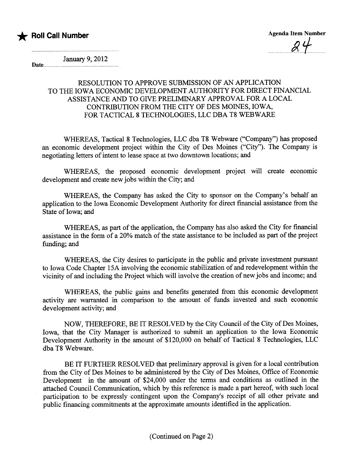

January 9, 2012

## Date.

## RESOLUTION TO APPROVE SUBMISSION OF AN APPLICATION TO THE IOWA ECONOMIC DEVELOPMENT AUTHORITY FOR DIRECT FINANCIAL ASSISTANCE AND TO GIVE PRELIMINARY APPROVAL FOR A LOCAL CONTRIBUTION FROM THE CITY OF DES MOINES, IOWA, FOR TACTICAL 8 TECHNOLOGIES, LLC DBA T8 WEBWARE

WHEREAS, Tactical 8 Technologies, LLC dba T8 Webware ("Company") has proposed an economic development project within the City of Des Moines ("City"). The Company is negotiating letters of intent to lease space at two downtown locations; and

WHREAS, the proposed economic development project will create economic development and create new jobs within the City; and

WHEREAS, the Company has asked the City to sponsor on the Company's behalf an application to the Iowa Economic Development Authority for direct financial assistace from the State of Iowa; and

WHEREAS, as part of the application, the Company has also asked the City for financial assistance in the form of a 20% match of the state assistance to be included as part of the project funding; and

WHEREAS, the City desires to participate in the public and private investment pursuant to Iowa Code Chapter 15A involving the economic stabilzation of and redevelopment within the vicinity of and including the Project which will involve the creation of new jobs and income; and

WHEREAS, the public gains and benefits generated from this economic development activity are waranted in comparson to the amount of fuds invested and such economic development activity; and

NOW, THEREFORE, BE IT RESOLVED by the City Council of the City of Des Moines, Iowa, that the City Manager is authorized to submit an application to the Iowa Economic Development Authority in the amount of \$120,000 on behalf of Tactical 8 Technologies, LLC dba T8 Webware.

BE IT FURTHER RESOLVED that preliminary approval is given for a local contribution from the City of Des Moines to be administered by the City of Des Moines, Office of Economic Development in the amount of \$24,000 under the terms and conditions as outlined in the attached Council Communication, which by this reference is made a part hereof, with such local paricipation to be expressly contingent upon the Company's receipt of all other private and public financing commitments at the approximate amounts identified in the application.